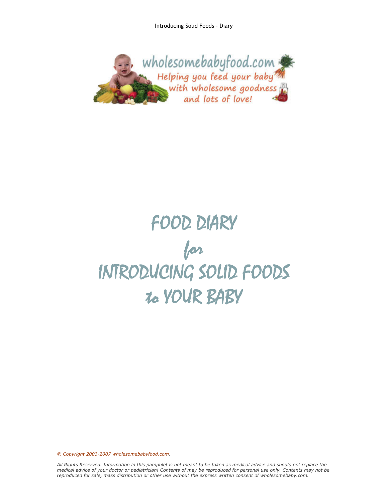

## FOOD DIARY for INTRODUCING SOLID FOODS to YOUR BABY

*© Copyright 2003-2007 wholesomebabyfood.com.*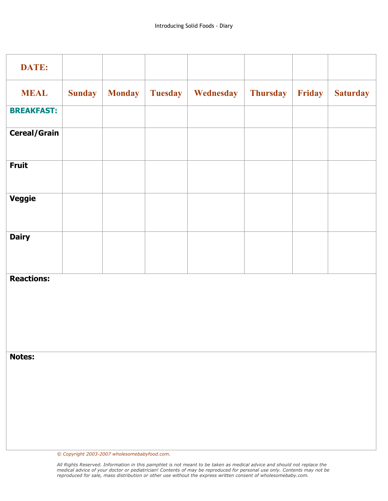| <b>DATE:</b>        |               |               |                |           |                 |        |                 |
|---------------------|---------------|---------------|----------------|-----------|-----------------|--------|-----------------|
| <b>MEAL</b>         | <b>Sunday</b> | <b>Monday</b> | <b>Tuesday</b> | Wednesday | <b>Thursday</b> | Friday | <b>Saturday</b> |
| <b>BREAKFAST:</b>   |               |               |                |           |                 |        |                 |
| <b>Cereal/Grain</b> |               |               |                |           |                 |        |                 |
| <b>Fruit</b>        |               |               |                |           |                 |        |                 |
| <b>Veggie</b>       |               |               |                |           |                 |        |                 |
| <b>Dairy</b>        |               |               |                |           |                 |        |                 |
| <b>Reactions:</b>   |               |               |                |           |                 |        |                 |
| <b>Notes:</b>       |               |               |                |           |                 |        |                 |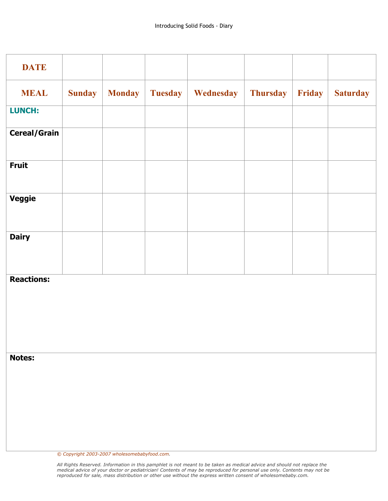| <b>DATE</b>         |               |               |                |           |                 |        |                 |
|---------------------|---------------|---------------|----------------|-----------|-----------------|--------|-----------------|
| <b>MEAL</b>         | <b>Sunday</b> | <b>Monday</b> | <b>Tuesday</b> | Wednesday | <b>Thursday</b> | Friday | <b>Saturday</b> |
| <b>LUNCH:</b>       |               |               |                |           |                 |        |                 |
| <b>Cereal/Grain</b> |               |               |                |           |                 |        |                 |
| <b>Fruit</b>        |               |               |                |           |                 |        |                 |
| <b>Veggie</b>       |               |               |                |           |                 |        |                 |
| <b>Dairy</b>        |               |               |                |           |                 |        |                 |
| <b>Reactions:</b>   |               |               |                |           |                 |        |                 |
| <b>Notes:</b>       |               |               |                |           |                 |        |                 |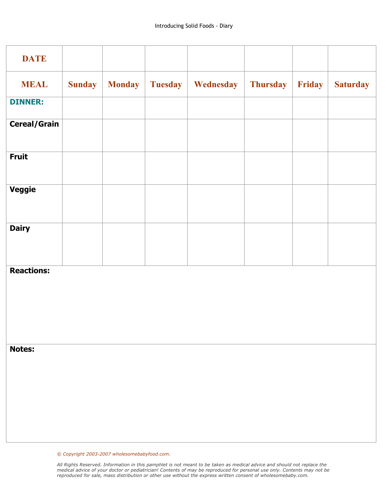| <b>DATE</b>         |               |               |                |           |                 |        |                 |
|---------------------|---------------|---------------|----------------|-----------|-----------------|--------|-----------------|
| <b>MEAL</b>         | <b>Sunday</b> | <b>Monday</b> | <b>Tuesday</b> | Wednesday | <b>Thursday</b> | Friday | <b>Saturday</b> |
| <b>DINNER:</b>      |               |               |                |           |                 |        |                 |
| <b>Cereal/Grain</b> |               |               |                |           |                 |        |                 |
| <b>Fruit</b>        |               |               |                |           |                 |        |                 |
| Veggie              |               |               |                |           |                 |        |                 |
| <b>Dairy</b>        |               |               |                |           |                 |        |                 |
| <b>Reactions:</b>   |               |               |                |           |                 |        |                 |
| <b>Notes:</b>       |               |               |                |           |                 |        |                 |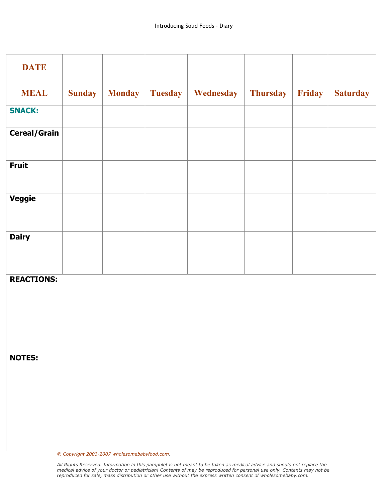| <b>DATE</b>         |               |               |                |           |                 |        |                 |
|---------------------|---------------|---------------|----------------|-----------|-----------------|--------|-----------------|
| <b>MEAL</b>         | <b>Sunday</b> | <b>Monday</b> | <b>Tuesday</b> | Wednesday | <b>Thursday</b> | Friday | <b>Saturday</b> |
| <b>SNACK:</b>       |               |               |                |           |                 |        |                 |
| <b>Cereal/Grain</b> |               |               |                |           |                 |        |                 |
| <b>Fruit</b>        |               |               |                |           |                 |        |                 |
| <b>Veggie</b>       |               |               |                |           |                 |        |                 |
| <b>Dairy</b>        |               |               |                |           |                 |        |                 |
| <b>REACTIONS:</b>   |               |               |                |           |                 |        |                 |
| <b>NOTES:</b>       |               |               |                |           |                 |        |                 |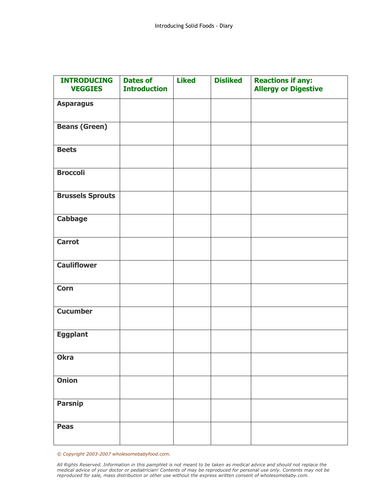| <b>INTRODUCING</b>      | <b>Dates of</b>     | <b>Liked</b> | <b>Disliked</b> | <b>Reactions if any:</b>    |
|-------------------------|---------------------|--------------|-----------------|-----------------------------|
| <b>VEGGIES</b>          | <b>Introduction</b> |              |                 | <b>Allergy or Digestive</b> |
| <b>Asparagus</b>        |                     |              |                 |                             |
| <b>Beans (Green)</b>    |                     |              |                 |                             |
| <b>Beets</b>            |                     |              |                 |                             |
| <b>Broccoli</b>         |                     |              |                 |                             |
| <b>Brussels Sprouts</b> |                     |              |                 |                             |
| <b>Cabbage</b>          |                     |              |                 |                             |
| Carrot                  |                     |              |                 |                             |
| <b>Cauliflower</b>      |                     |              |                 |                             |
| <b>Corn</b>             |                     |              |                 |                             |
| <b>Cucumber</b>         |                     |              |                 |                             |
| <b>Eggplant</b>         |                     |              |                 |                             |
| <b>Okra</b>             |                     |              |                 |                             |
| <b>Onion</b>            |                     |              |                 |                             |
| <b>Parsnip</b>          |                     |              |                 |                             |
| <b>Peas</b>             |                     |              |                 |                             |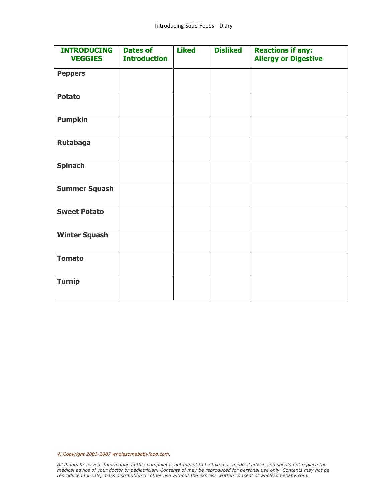| <b>INTRODUCING</b><br><b>VEGGIES</b> | <b>Dates of</b><br><b>Introduction</b> | <b>Liked</b> | <b>Disliked</b> | <b>Reactions if any:</b><br><b>Allergy or Digestive</b> |
|--------------------------------------|----------------------------------------|--------------|-----------------|---------------------------------------------------------|
| <b>Peppers</b>                       |                                        |              |                 |                                                         |
| <b>Potato</b>                        |                                        |              |                 |                                                         |
| <b>Pumpkin</b>                       |                                        |              |                 |                                                         |
| <b>Rutabaga</b>                      |                                        |              |                 |                                                         |
| <b>Spinach</b>                       |                                        |              |                 |                                                         |
| <b>Summer Squash</b>                 |                                        |              |                 |                                                         |
| <b>Sweet Potato</b>                  |                                        |              |                 |                                                         |
| <b>Winter Squash</b>                 |                                        |              |                 |                                                         |
| <b>Tomato</b>                        |                                        |              |                 |                                                         |
| <b>Turnip</b>                        |                                        |              |                 |                                                         |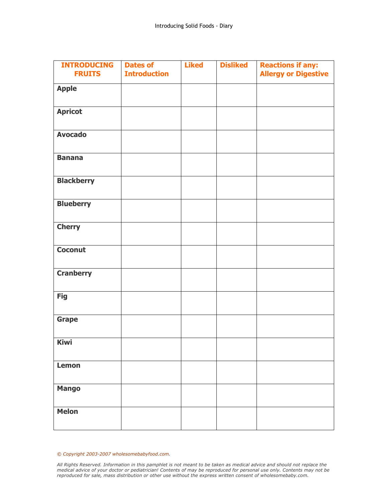| <b>INTRODUCING</b><br><b>FRUITS</b> | <b>Dates of</b><br><b>Introduction</b> | <b>Liked</b> | <b>Disliked</b> | <b>Reactions if any:</b><br><b>Allergy or Digestive</b> |
|-------------------------------------|----------------------------------------|--------------|-----------------|---------------------------------------------------------|
| <b>Apple</b>                        |                                        |              |                 |                                                         |
| <b>Apricot</b>                      |                                        |              |                 |                                                         |
| <b>Avocado</b>                      |                                        |              |                 |                                                         |
| <b>Banana</b>                       |                                        |              |                 |                                                         |
| <b>Blackberry</b>                   |                                        |              |                 |                                                         |
| <b>Blueberry</b>                    |                                        |              |                 |                                                         |
| <b>Cherry</b>                       |                                        |              |                 |                                                         |
| <b>Coconut</b>                      |                                        |              |                 |                                                         |
| <b>Cranberry</b>                    |                                        |              |                 |                                                         |
| <b>Fig</b>                          |                                        |              |                 |                                                         |
| <b>Grape</b>                        |                                        |              |                 |                                                         |
| <b>Kiwi</b>                         |                                        |              |                 |                                                         |
| Lemon                               |                                        |              |                 |                                                         |
| <b>Mango</b>                        |                                        |              |                 |                                                         |
| <b>Melon</b>                        |                                        |              |                 |                                                         |